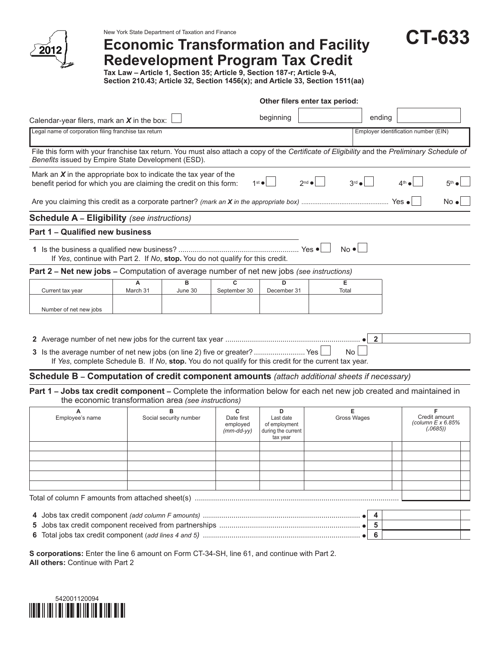

# **Economic Transformation and Facility Redevelopment Program Tax Credit**

**CT-633**

**Tax Law – Article 1, Section 35; Article 9, Section 187-r; Article 9-A, Section 210.43; Article 32, Section 1456(x); and Article 33, Section 1511(aa)**

|                                                                                                                                                                                                    |               |                        |                                                 |                                                                   | Other filers enter tax period: |                |                                                             |  |
|----------------------------------------------------------------------------------------------------------------------------------------------------------------------------------------------------|---------------|------------------------|-------------------------------------------------|-------------------------------------------------------------------|--------------------------------|----------------|-------------------------------------------------------------|--|
| Calendar-year filers, mark an $X$ in the box:                                                                                                                                                      |               |                        |                                                 | beginning                                                         |                                | ending         |                                                             |  |
| Legal name of corporation filing franchise tax return                                                                                                                                              |               |                        |                                                 |                                                                   |                                |                | Employer identification number (EIN)                        |  |
| File this form with your franchise tax return. You must also attach a copy of the Certificate of Eligibility and the Preliminary Schedule of<br>Benefits issued by Empire State Development (ESD). |               |                        |                                                 |                                                                   |                                |                |                                                             |  |
| Mark an $X$ in the appropriate box to indicate the tax year of the<br>benefit period for which you are claiming the credit on this form:                                                           |               |                        |                                                 | $1st$ $\bullet$                                                   | $3rd$ $\bullet$<br>$2^{nd}$    |                | $4th$ e                                                     |  |
|                                                                                                                                                                                                    |               |                        |                                                 |                                                                   |                                |                | No ∙                                                        |  |
| <b>Schedule A - Eligibility (see instructions)</b>                                                                                                                                                 |               |                        |                                                 |                                                                   |                                |                |                                                             |  |
| Part 1 - Qualified new business                                                                                                                                                                    |               |                        |                                                 |                                                                   |                                |                |                                                             |  |
| If Yes, continue with Part 2. If No, stop. You do not qualify for this credit.                                                                                                                     |               |                        |                                                 |                                                                   | $No \cdot$                     |                |                                                             |  |
| Part 2 - Net new jobs - Computation of average number of net new jobs (see instructions)                                                                                                           |               |                        |                                                 |                                                                   |                                |                |                                                             |  |
| Current tax year                                                                                                                                                                                   | A<br>March 31 | в<br>June 30           | C<br>September 30                               | D<br>December 31                                                  | Е<br>Total                     |                |                                                             |  |
| Number of net new jobs                                                                                                                                                                             |               |                        |                                                 |                                                                   |                                |                |                                                             |  |
| 3 Is the average number of net new jobs (on line 2) five or greater?  Yes<br>If Yes, complete Schedule B. If No, stop. You do not qualify for this credit for the current tax year.                |               |                        |                                                 |                                                                   | No.                            | $\overline{2}$ |                                                             |  |
| Schedule B - Computation of credit component amounts (attach additional sheets if necessary)                                                                                                       |               |                        |                                                 |                                                                   |                                |                |                                                             |  |
| Part 1 - Jobs tax credit component - Complete the information below for each net new job created and maintained in<br>the economic transformation area (see instructions)                          |               |                        |                                                 |                                                                   |                                |                |                                                             |  |
| А<br>Employee's name                                                                                                                                                                               |               | Social security number | C<br>Date first<br>employed<br>$(mm$ -dd-yy $)$ | D<br>Last date<br>of employment<br>during the current<br>tax year | Е<br>Gross Wages               |                | F<br>Credit amount<br>(column $E \times 6.85\%$<br>(.0685)) |  |
|                                                                                                                                                                                                    |               |                        |                                                 |                                                                   |                                |                |                                                             |  |
|                                                                                                                                                                                                    |               |                        |                                                 |                                                                   |                                |                |                                                             |  |
|                                                                                                                                                                                                    |               |                        |                                                 |                                                                   |                                |                |                                                             |  |
|                                                                                                                                                                                                    |               |                        |                                                 |                                                                   |                                |                |                                                             |  |
|                                                                                                                                                                                                    |               |                        |                                                 |                                                                   |                                |                |                                                             |  |
|                                                                                                                                                                                                    |               |                        |                                                 |                                                                   |                                | 4              |                                                             |  |
| 5                                                                                                                                                                                                  |               |                        |                                                 |                                                                   |                                | 5<br>6         |                                                             |  |
|                                                                                                                                                                                                    |               |                        |                                                 |                                                                   |                                |                |                                                             |  |

**S corporations:** Enter the line 6 amount on Form CT-34-SH, line 61, and continue with Part 2. **All others:** Continue with Part 2

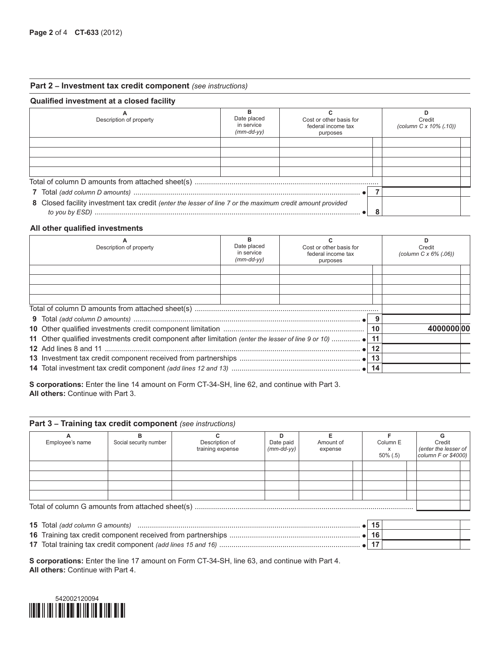# **Part 2 – Investment tax credit component** *(see instructions)*

# **Qualified investment at a closed facility**

| Description of property                                                                                   | Date placed<br>in service<br>$(mm-dd-vv)$ | Cost or other basis for<br>federal income tax<br>purposes | Credit<br>(column C x 10% (.10)) |
|-----------------------------------------------------------------------------------------------------------|-------------------------------------------|-----------------------------------------------------------|----------------------------------|
|                                                                                                           |                                           |                                                           |                                  |
|                                                                                                           |                                           |                                                           |                                  |
|                                                                                                           |                                           |                                                           |                                  |
|                                                                                                           |                                           |                                                           |                                  |
|                                                                                                           |                                           |                                                           |                                  |
|                                                                                                           |                                           |                                                           |                                  |
| 8 Closed facility investment tax credit (enter the lesser of line 7 or the maximum credit amount provided |                                           |                                                           |                                  |

# **All other qualified investments**

| А<br>Description of property                                                                        | в<br>Date placed<br>in service<br>$(mm$ -dd- $vy)$ | Cost or other basis for<br>federal income tax<br>purposes |    | D<br>Credit<br>(column $C \times 6\%$ (.06)) |
|-----------------------------------------------------------------------------------------------------|----------------------------------------------------|-----------------------------------------------------------|----|----------------------------------------------|
|                                                                                                     |                                                    |                                                           |    |                                              |
|                                                                                                     |                                                    |                                                           |    |                                              |
|                                                                                                     |                                                    |                                                           |    |                                              |
|                                                                                                     |                                                    |                                                           |    |                                              |
|                                                                                                     |                                                    |                                                           |    |                                              |
|                                                                                                     |                                                    |                                                           | 10 | 4000000 00                                   |
| 11 Other qualified investments credit component after limitation (enter the lesser of line 9 or 10) |                                                    |                                                           | 11 |                                              |
|                                                                                                     |                                                    |                                                           | 12 |                                              |
|                                                                                                     |                                                    |                                                           | 13 |                                              |
|                                                                                                     |                                                    |                                                           | 14 |                                              |

**S corporations:** Enter the line 14 amount on Form CT-34-SH, line 62, and continue with Part 3. **All others:** Continue with Part 3.

### **Part 3 – Training tax credit component** *(see instructions)*

| Employee's name | Social security number                           | Description of<br>training expense | Date paid<br>$(mm$ -dd-yy $)$ | Amount of<br>expense | Column E<br>$50\%$ (.5) |  | Credit<br>(enter the lesser of<br>column $F$ or \$4000) |  |  |  |  |  |
|-----------------|--------------------------------------------------|------------------------------------|-------------------------------|----------------------|-------------------------|--|---------------------------------------------------------|--|--|--|--|--|
|                 |                                                  |                                    |                               |                      |                         |  |                                                         |  |  |  |  |  |
|                 |                                                  |                                    |                               |                      |                         |  |                                                         |  |  |  |  |  |
|                 |                                                  |                                    |                               |                      |                         |  |                                                         |  |  |  |  |  |
|                 |                                                  |                                    |                               |                      |                         |  |                                                         |  |  |  |  |  |
|                 | Total of column G amounts from attached sheet(s) |                                    |                               |                      |                         |  |                                                         |  |  |  |  |  |

| <b>15</b> Total (add column G amounts) |  |  |
|----------------------------------------|--|--|
|                                        |  |  |
|                                        |  |  |

**S corporations:** Enter the line 17 amount on Form CT-34-SH, line 63, and continue with Part 4. **All others:** Continue with Part 4.

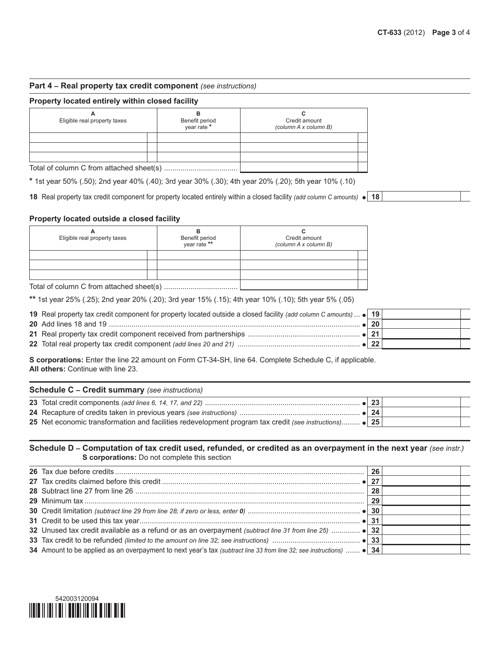# **Part 4 – Real property tax credit component** *(see instructions)*

#### **Property located entirely within closed facility**

| A<br>Eligible real property taxes        | Benefit period<br>vear rate * | Credit amount<br>(column A x column B) |  |
|------------------------------------------|-------------------------------|----------------------------------------|--|
|                                          |                               |                                        |  |
|                                          |                               |                                        |  |
|                                          |                               |                                        |  |
| Total of column C from attached sheet(s) |                               |                                        |  |

**\*** 1st year 50% (.50); 2nd year 40% (.40); 3rd year 30% (.30); 4th year 20% (.20); 5th year 10% (.10)

**18** Real property tax credit component for property located entirely within a closed facility *(add column C amounts)* **18**

### **Property located outside a closed facility**

| А<br>Eligible real property taxes | Benefit period<br>year rate ** | Credit amount<br>(column A x column B) |  |
|-----------------------------------|--------------------------------|----------------------------------------|--|
|                                   |                                |                                        |  |
|                                   |                                |                                        |  |
|                                   |                                |                                        |  |
|                                   |                                |                                        |  |

**\*\*** 1st year 25% (.25); 2nd year 20% (.20); 3rd year 15% (.15); 4th year 10% (.10); 5th year 5% (.05)

| 19 Real property tax credit component for property located outside a closed facility (add column C amounts) • 19 |  |
|------------------------------------------------------------------------------------------------------------------|--|
|                                                                                                                  |  |
|                                                                                                                  |  |
|                                                                                                                  |  |

**S corporations:** Enter the line 22 amount on Form CT-34-SH, line 64. Complete Schedule C, if applicable. **All others:** Continue with line 23.

| <b>Schedule C – Credit summary</b> (see instructions)                                                    |        |  |
|----------------------------------------------------------------------------------------------------------|--------|--|
|                                                                                                          | 23     |  |
|                                                                                                          | ା 24 ' |  |
| 25 Net economic transformation and facilities redevelopment program tax credit (see instructions) .   25 |        |  |

# **Schedule D – Computation of tax credit used, refunded, or credited as an overpayment in the next year** *(see instr.)* **S corporations:** Do not complete this section

|                                                                                                                      | 26 |  |
|----------------------------------------------------------------------------------------------------------------------|----|--|
|                                                                                                                      | 27 |  |
|                                                                                                                      | 28 |  |
|                                                                                                                      | 29 |  |
|                                                                                                                      |    |  |
|                                                                                                                      |    |  |
| 32 Unused tax credit available as a refund or as an overpayment (subtract line 31 from line 25)  . 22                |    |  |
|                                                                                                                      |    |  |
| 34 Amount to be applied as an overpayment to next year's tax (subtract line 33 from line 32; see instructions)  • 34 |    |  |